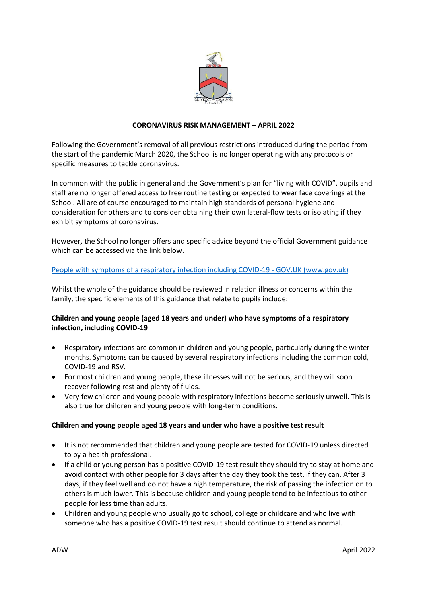

## **CORONAVIRUS RISK MANAGEMENT – APRIL 2022**

Following the Government's removal of all previous restrictions introduced during the period from the start of the pandemic March 2020, the School is no longer operating with any protocols or specific measures to tackle coronavirus.

In common with the public in general and the Government's plan for "living with COVID", pupils and staff are no longer offered access to free routine testing or expected to wear face coverings at the School. All are of course encouraged to maintain high standards of personal hygiene and consideration for others and to consider obtaining their own lateral-flow tests or isolating if they exhibit symptoms of coronavirus.

However, the School no longer offers and specific advice beyond the official Government guidance which can be accessed via the link below.

### [People with symptoms of a respiratory infection including COVID-19 -](https://www.gov.uk/guidance/people-with-symptoms-of-a-respiratory-infection-including-covid-19) GOV.UK (www.gov.uk)

Whilst the whole of the guidance should be reviewed in relation illness or concerns within the family, the specific elements of this guidance that relate to pupils include:

### **Children and young people (aged 18 years and under) who have symptoms of a respiratory infection, including COVID-19**

- Respiratory infections are common in children and young people, particularly during the winter months. Symptoms can be caused by several respiratory infections including the common cold, COVID-19 and RSV.
- For most children and young people, these illnesses will not be serious, and they will soon recover following rest and plenty of fluids.
- Very few children and young people with respiratory infections become seriously unwell. This is also true for children and young people with long-term conditions.

#### **Children and young people aged 18 years and under who have a positive test result**

- It is not recommended that children and young people are tested for COVID-19 unless directed to by a health professional.
- If a child or young person has a positive COVID-19 test result they should try to stay at home and avoid contact with other people for 3 days after the day they took the test, if they can. After 3 days, if they feel well and do not have a high temperature, the risk of passing the infection on to others is much lower. This is because children and young people tend to be infectious to other people for less time than adults.
- Children and young people who usually go to school, college or childcare and who live with someone who has a positive COVID-19 test result should continue to attend as normal.